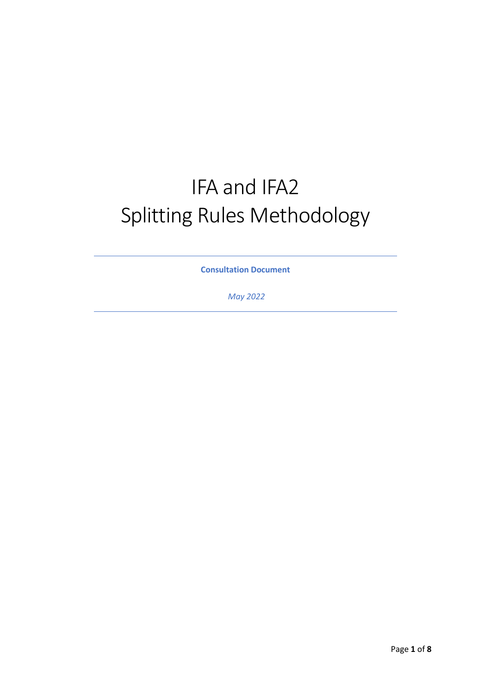# IFA and IFA2 Splitting Rules Methodology

**Consultation Document**

*May 2022*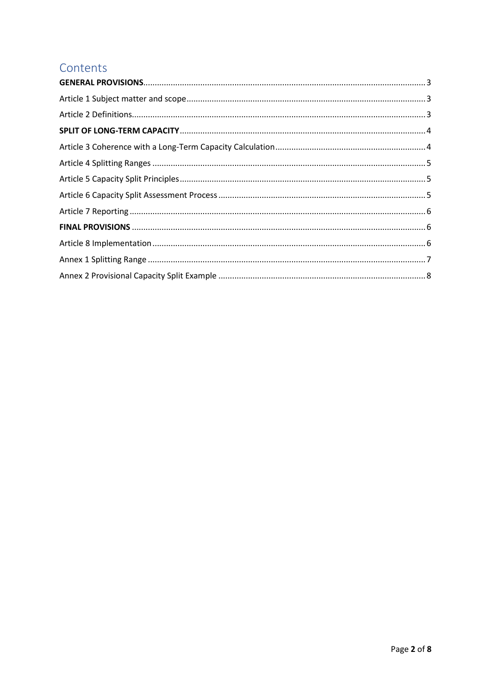## Contents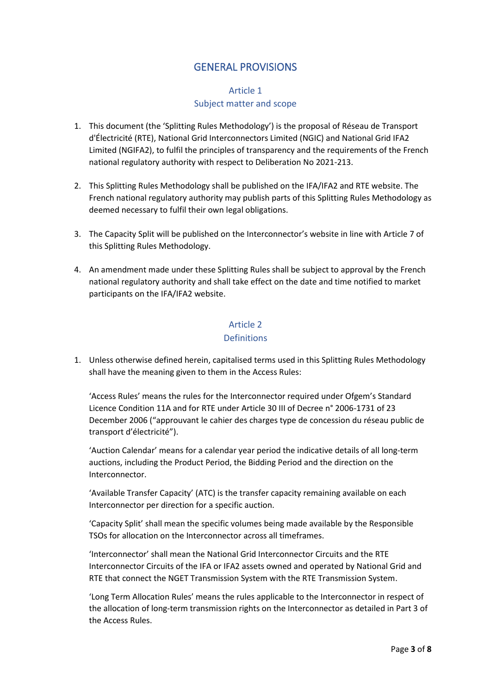## GENERAL PROVISIONS

#### Article 1 Subject matter and scope

- <span id="page-2-1"></span><span id="page-2-0"></span>1. This document (the 'Splitting Rules Methodology') is the proposal of Réseau de Transport d'Électricité (RTE), National Grid Interconnectors Limited (NGIC) and National Grid IFA2 Limited (NGIFA2), to fulfil the principles of transparency and the requirements of the French national regulatory authority with respect to Deliberation No 2021-213.
- 2. This Splitting Rules Methodology shall be published on the IFA/IFA2 and RTE website. The French national regulatory authority may publish parts of this Splitting Rules Methodology as deemed necessary to fulfil their own legal obligations.
- 3. The Capacity Split will be published on the Interconnector's website in line with Article 7 of this Splitting Rules Methodology.
- 4. An amendment made under these Splitting Rules shall be subject to approval by the French national regulatory authority and shall take effect on the date and time notified to market participants on the IFA/IFA2 website.

#### Article 2 Definitions

<span id="page-2-2"></span>1. Unless otherwise defined herein, capitalised terms used in this Splitting Rules Methodology shall have the meaning given to them in the Access Rules:

'Access Rules' means the rules for the Interconnector required under Ofgem's Standard Licence Condition 11A and for RTE under Article 30 III of Decree n° 2006-1731 of 23 December 2006 ("approuvant le cahier des charges type de concession du réseau public de transport d'électricité").

'Auction Calendar' means for a calendar year period the indicative details of all long-term auctions, including the Product Period, the Bidding Period and the direction on the Interconnector.

'Available Transfer Capacity' (ATC) is the transfer capacity remaining available on each Interconnector per direction for a specific auction.

'Capacity Split' shall mean the specific volumes being made available by the Responsible TSOs for allocation on the Interconnector across all timeframes.

'Interconnector' shall mean the National Grid Interconnector Circuits and the RTE Interconnector Circuits of the IFA or IFA2 assets owned and operated by National Grid and RTE that connect the NGET Transmission System with the RTE Transmission System.

'Long Term Allocation Rules' means the rules applicable to the Interconnector in respect of the allocation of long-term transmission rights on the Interconnector as detailed in Part 3 of the Access Rules.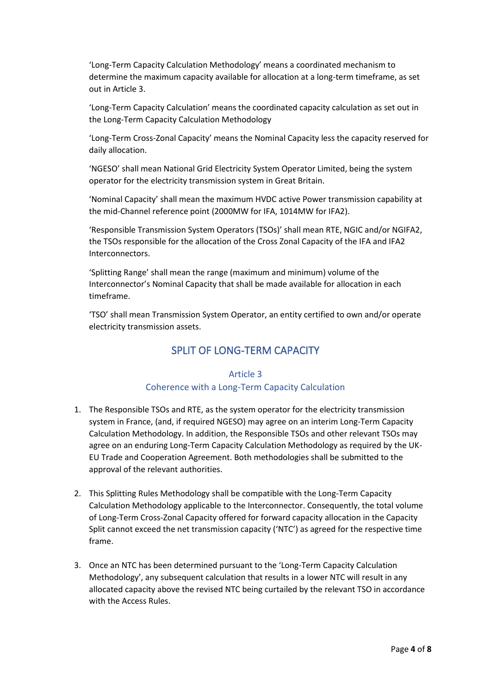'Long-Term Capacity Calculation Methodology' means a coordinated mechanism to determine the maximum capacity available for allocation at a long-term timeframe, as set out in Article 3.

'Long-Term Capacity Calculation' means the coordinated capacity calculation as set out in the Long-Term Capacity Calculation Methodology

'Long-Term Cross-Zonal Capacity' means the Nominal Capacity less the capacity reserved for daily allocation.

'NGESO' shall mean National Grid Electricity System Operator Limited, being the system operator for the electricity transmission system in Great Britain.

'Nominal Capacity' shall mean the maximum HVDC active Power transmission capability at the mid-Channel reference point (2000MW for IFA, 1014MW for IFA2).

'Responsible Transmission System Operators (TSOs)' shall mean RTE, NGIC and/or NGIFA2, the TSOs responsible for the allocation of the Cross Zonal Capacity of the IFA and IFA2 Interconnectors.

'Splitting Range' shall mean the range (maximum and minimum) volume of the Interconnector's Nominal Capacity that shall be made available for allocation in each timeframe.

<span id="page-3-0"></span>'TSO' shall mean Transmission System Operator, an entity certified to own and/or operate electricity transmission assets.

## SPLIT OF LONG-TERM CAPACITY

#### Article 3 Coherence with a Long-Term Capacity Calculation

- <span id="page-3-1"></span>1. The Responsible TSOs and RTE, as the system operator for the electricity transmission system in France, (and, if required NGESO) may agree on an interim Long-Term Capacity Calculation Methodology. In addition, the Responsible TSOs and other relevant TSOs may agree on an enduring Long-Term Capacity Calculation Methodology as required by the UK-EU Trade and Cooperation Agreement. Both methodologies shall be submitted to the approval of the relevant authorities.
- 2. This Splitting Rules Methodology shall be compatible with the Long-Term Capacity Calculation Methodology applicable to the Interconnector. Consequently, the total volume of Long-Term Cross-Zonal Capacity offered for forward capacity allocation in the Capacity Split cannot exceed the net transmission capacity ('NTC') as agreed for the respective time frame.
- 3. Once an NTC has been determined pursuant to the 'Long-Term Capacity Calculation Methodology', any subsequent calculation that results in a lower NTC will result in any allocated capacity above the revised NTC being curtailed by the relevant TSO in accordance with the Access Rules.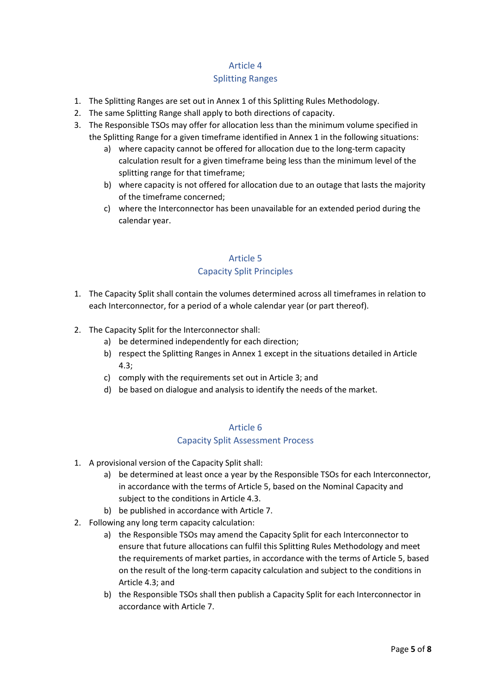#### Article 4

#### Splitting Ranges

- <span id="page-4-0"></span>1. The Splitting Ranges are set out in Annex 1 of this Splitting Rules Methodology.
- 2. The same Splitting Range shall apply to both directions of capacity.
- 3. The Responsible TSOs may offer for allocation less than the minimum volume specified in the Splitting Range for a given timeframe identified in Annex 1 in the following situations:
	- a) where capacity cannot be offered for allocation due to the long-term capacity calculation result for a given timeframe being less than the minimum level of the splitting range for that timeframe;
	- b) where capacity is not offered for allocation due to an outage that lasts the majority of the timeframe concerned;
	- c) where the Interconnector has been unavailable for an extended period during the calendar year.

## Article 5 Capacity Split Principles

- <span id="page-4-1"></span>1. The Capacity Split shall contain the volumes determined across all timeframes in relation to each Interconnector, for a period of a whole calendar year (or part thereof).
- 2. The Capacity Split for the Interconnector shall:
	- a) be determined independently for each direction;
	- b) respect the Splitting Ranges in Annex 1 except in the situations detailed in Article 4.3;
	- c) comply with the requirements set out in Article 3; and
	- d) be based on dialogue and analysis to identify the needs of the market.

#### Article 6

#### Capacity Split Assessment Process

- <span id="page-4-2"></span>1. A provisional version of the Capacity Split shall:
	- a) be determined at least once a year by the Responsible TSOs for each Interconnector, in accordance with the terms of Article 5, based on the Nominal Capacity and subject to the conditions in Article 4.3.
	- b) be published in accordance with Article 7.
- 2. Following any long term capacity calculation:
	- a) the Responsible TSOs may amend the Capacity Split for each Interconnector to ensure that future allocations can fulfil this Splitting Rules Methodology and meet the requirements of market parties, in accordance with the terms of Article 5, based on the result of the long-term capacity calculation and subject to the conditions in Article 4.3; and
	- b) the Responsible TSOs shall then publish a Capacity Split for each Interconnector in accordance with Article 7.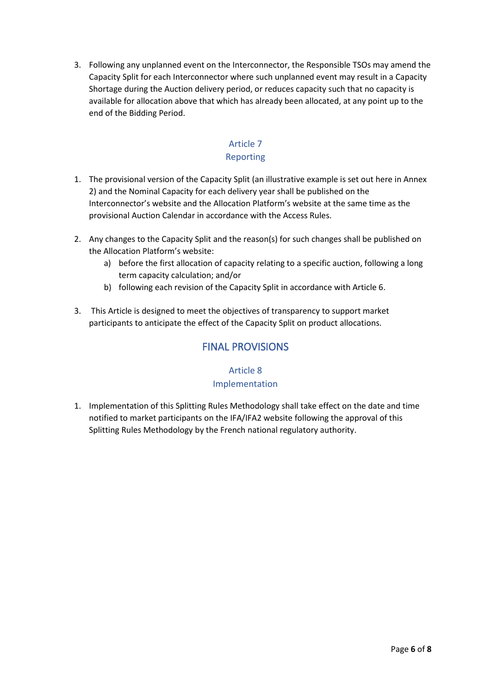3. Following any unplanned event on the Interconnector, the Responsible TSOs may amend the Capacity Split for each Interconnector where such unplanned event may result in a Capacity Shortage during the Auction delivery period, or reduces capacity such that no capacity is available for allocation above that which has already been allocated, at any point up to the end of the Bidding Period.

#### Article 7 Reporting

- <span id="page-5-0"></span>1. The provisional version of the Capacity Split (an illustrative example is set out here in Annex 2) and the Nominal Capacity for each delivery year shall be published on the Interconnector's website and the Allocation Platform's website at the same time as the provisional Auction Calendar in accordance with the Access Rules.
- 2. Any changes to the Capacity Split and the reason(s) for such changes shall be published on the Allocation Platform's website:
	- a) before the first allocation of capacity relating to a specific auction, following a long term capacity calculation; and/or
	- b) following each revision of the Capacity Split in accordance with Article 6.
- <span id="page-5-1"></span>3. This Article is designed to meet the objectives of transparency to support market participants to anticipate the effect of the Capacity Split on product allocations.

## FINAL PROVISIONS

## Article 8

#### Implementation

<span id="page-5-2"></span>1. Implementation of this Splitting Rules Methodology shall take effect on the date and time notified to market participants on the IFA/IFA2 website following the approval of this Splitting Rules Methodology by the French national regulatory authority.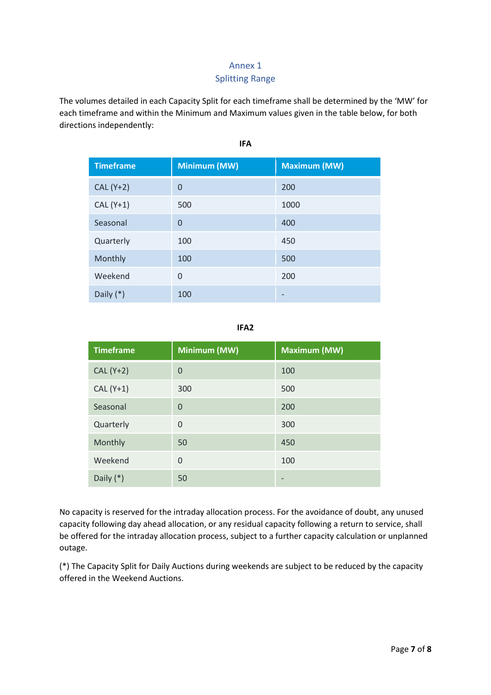### Annex 1 Splitting Range

<span id="page-6-0"></span>The volumes detailed in each Capacity Split for each timeframe shall be determined by the 'MW' for each timeframe and within the Minimum and Maximum values given in the table below, for both directions independently:

| <b>Timeframe</b> | Minimum (MW)   | <b>Maximum (MW)</b> |  |
|------------------|----------------|---------------------|--|
| $CAL (Y+2)$      | 0              | 200                 |  |
| $CAL (Y+1)$      | 500            | 1000                |  |
| Seasonal         | $\overline{0}$ | 400                 |  |
| Quarterly        | 100            | 450                 |  |
| Monthly          | 100            | 500                 |  |
| Weekend          | $\overline{0}$ | 200                 |  |
| Daily $(*)$      | 100            |                     |  |

**IFA**

**IFA2**

| <b>Timeframe</b> | Minimum (MW) | Maximum (MW) |  |
|------------------|--------------|--------------|--|
| CAL (Y+2)        | $\Omega$     | 100          |  |
| $CAL (Y+1)$      | 300          | 500          |  |
| Seasonal         | $\Omega$     | 200          |  |
| Quarterly        | $\Omega$     | 300          |  |
| Monthly          | 50           | 450          |  |
| Weekend          | $\Omega$     | 100          |  |
| Daily $(*)$      | 50           |              |  |

No capacity is reserved for the intraday allocation process. For the avoidance of doubt, any unused capacity following day ahead allocation, or any residual capacity following a return to service, shall be offered for the intraday allocation process, subject to a further capacity calculation or unplanned outage.

(\*) The Capacity Split for Daily Auctions during weekends are subject to be reduced by the capacity offered in the Weekend Auctions.